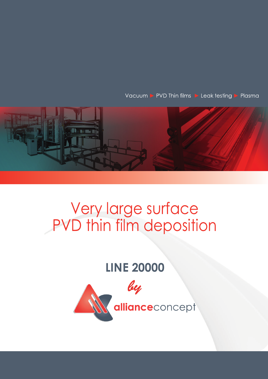Vacuum ▶ PVD Thin films ▶ Leak testing ▶ Plasma



## Very large surface<br>PVD thin film deposition

## **LINE 20000**